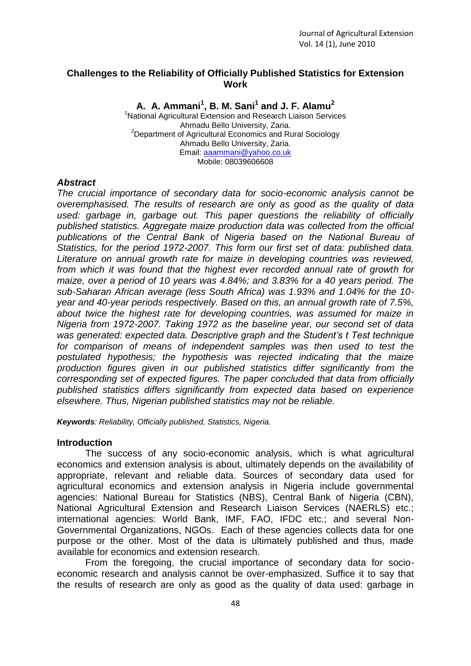# **Challenges to the Reliability of Officially Published Statistics for Extension Work**

**A. A. Ammani<sup>1</sup> , B. M. Sani<sup>1</sup> and J. F. Alamu<sup>2</sup>** <sup>1</sup>National Agricultural Extension and Research Liaison Services Ahmadu Bello University, Zaria. <sup>2</sup>Department of Agricultural Economics and Rural Sociology Ahmadu Bello University, Zaria. Email: [aaammani@yahoo.co.uk](mailto:aaammani@yahoo.co.uk) Mobile: 08039606608

#### *Abstract*

*The crucial importance of secondary data for socio-economic analysis cannot be overemphasised. The results of research are only as good as the quality of data used: garbage in, garbage out. This paper questions the reliability of officially published statistics. Aggregate maize production data was collected from the official publications of the Central Bank of Nigeria based on the National Bureau of Statistics, for the period 1972-2007. This form our first set of data: published data. Literature on annual growth rate for maize in developing countries was reviewed, from which it was found that the highest ever recorded annual rate of growth for maize, over a period of 10 years was 4.84%; and 3.83% for a 40 years period. The sub-Saharan African average (less South Africa) was 1.93% and 1.04% for the 10 year and 40-year periods respectively. Based on this, an annual growth rate of 7.5%, about twice the highest rate for developing countries, was assumed for maize in Nigeria from 1972-2007. Taking 1972 as the baseline year, our second set of data was generated: expected data. Descriptive graph and the Student's t Test technique for comparison of means of independent samples was then used to test the postulated hypothesis; the hypothesis was rejected indicating that the maize production figures given in our published statistics differ significantly from the corresponding set of expected figures. The paper concluded that data from officially published statistics differs significantly from expected data based on experience elsewhere. Thus, Nigerian published statistics may not be reliable.*

*Keywords: Reliability, Officially published, Statistics, Nigeria.*

#### **Introduction**

The success of any socio-economic analysis, which is what agricultural economics and extension analysis is about, ultimately depends on the availability of appropriate, relevant and reliable data. Sources of secondary data used for agricultural economics and extension analysis in Nigeria include governmental agencies: National Bureau for Statistics (NBS), Central Bank of Nigeria (CBN), National Agricultural Extension and Research Liaison Services (NAERLS) etc.; international agencies: World Bank, IMF, FAO, IFDC etc.; and several Non-Governmental Organizations, NGOs. Each of these agencies collects data for one purpose or the other. Most of the data is ultimately published and thus, made available for economics and extension research.

From the foregoing, the crucial importance of secondary data for socioeconomic research and analysis cannot be over-emphasized. Suffice it to say that the results of research are only as good as the quality of data used: garbage in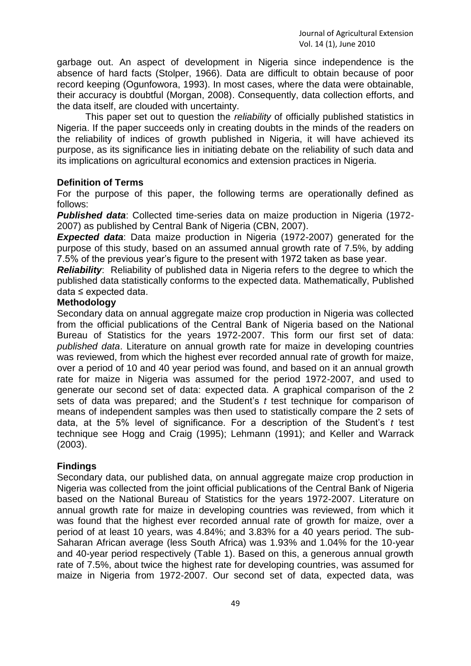garbage out. An aspect of development in Nigeria since independence is the absence of hard facts (Stolper, 1966). Data are difficult to obtain because of poor record keeping (Ogunfowora, 1993). In most cases, where the data were obtainable, their accuracy is doubtful (Morgan, 2008). Consequently, data collection efforts, and the data itself, are clouded with uncertainty.

This paper set out to question the *reliability* of officially published statistics in Nigeria. If the paper succeeds only in creating doubts in the minds of the readers on the reliability of indices of growth published in Nigeria, it will have achieved its purpose, as its significance lies in initiating debate on the reliability of such data and its implications on agricultural economics and extension practices in Nigeria.

# **Definition of Terms**

For the purpose of this paper, the following terms are operationally defined as follows:

*Published data*: Collected time-series data on maize production in Nigeria (1972- 2007) as published by Central Bank of Nigeria (CBN, 2007).

*Expected data*: Data maize production in Nigeria (1972-2007) generated for the purpose of this study, based on an assumed annual growth rate of 7.5%, by adding 7.5% of the previous year's figure to the present with 1972 taken as base year.

*Reliability*: Reliability of published data in Nigeria refers to the degree to which the published data statistically conforms to the expected data. Mathematically, Published data ≤ expected data.

#### **Methodology**

Secondary data on annual aggregate maize crop production in Nigeria was collected from the official publications of the Central Bank of Nigeria based on the National Bureau of Statistics for the years 1972-2007. This form our first set of data: *published data*. Literature on annual growth rate for maize in developing countries was reviewed, from which the highest ever recorded annual rate of growth for maize, over a period of 10 and 40 year period was found, and based on it an annual growth rate for maize in Nigeria was assumed for the period 1972-2007, and used to generate our second set of data: expected data. A graphical comparison of the 2 sets of data was prepared; and the Student's *t* test technique for comparison of means of independent samples was then used to statistically compare the 2 sets of data, at the 5% level of significance. For a description of the Student's *t* test technique see Hogg and Craig (1995); Lehmann (1991); and Keller and Warrack (2003).

# **Findings**

Secondary data, our published data, on annual aggregate maize crop production in Nigeria was collected from the joint official publications of the Central Bank of Nigeria based on the National Bureau of Statistics for the years 1972-2007. Literature on annual growth rate for maize in developing countries was reviewed, from which it was found that the highest ever recorded annual rate of growth for maize, over a period of at least 10 years, was 4.84%; and 3.83% for a 40 years period. The sub-Saharan African average (less South Africa) was 1.93% and 1.04% for the 10-year and 40-year period respectively (Table 1). Based on this, a generous annual growth rate of 7.5%, about twice the highest rate for developing countries, was assumed for maize in Nigeria from 1972-2007. Our second set of data, expected data, was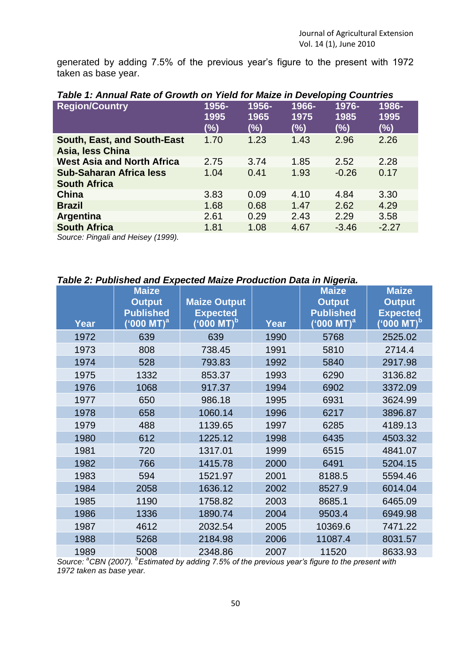generated by adding 7.5% of the previous year's figure to the present with 1972 taken as base year.

| rable T. Annual Rate of Growth on Tield for Malze in Developing Countries |        |       |        |         |         |
|---------------------------------------------------------------------------|--------|-------|--------|---------|---------|
| <b>Region/Country</b>                                                     | 1956-  | 1956- | 1966-  | 1976-   | 1986-   |
|                                                                           | 1995   | 1965  | 1975   | 1985    | 1995    |
|                                                                           | $(\%)$ | (%)   | $(\%)$ | (%)     | $(\%)$  |
| South, East, and South-East                                               | 1.70   | 1.23  | 1.43   | 2.96    | 2.26    |
| Asia, less China                                                          |        |       |        |         |         |
| <b>West Asia and North Africa</b>                                         | 2.75   | 3.74  | 1.85   | 2.52    | 2.28    |
| <b>Sub-Saharan Africa less</b>                                            | 1.04   | 0.41  | 1.93   | $-0.26$ | 0.17    |
| <b>South Africa</b>                                                       |        |       |        |         |         |
| China                                                                     | 3.83   | 0.09  | 4.10   | 4.84    | 3.30    |
| <b>Brazil</b>                                                             | 1.68   | 0.68  | 1.47   | 2.62    | 4.29    |
| <b>Argentina</b>                                                          | 2.61   | 0.29  | 2.43   | 2.29    | 3.58    |
| <b>South Africa</b>                                                       | 1.81   | 1.08  | 4.67   | $-3.46$ | $-2.27$ |
|                                                                           |        |       |        |         |         |

# *Table 1: Annual Rate of Growth on Yield for Maize in Developing Countries*

*Source: Pingali and Heisey (1999).*

# *Table 2: Published and Expected Maize Production Data in Nigeria.*

| <b>Year</b> | <b>Maize</b><br><b>Output</b><br><b>Published</b><br>$(5000 \overline{\mathrm{MT}})^{\mathrm{a}}$ | <b>Maize Output</b><br><b>Expected</b><br>$\overline{('000 MT)}^{\rm b}$ | <b>Year</b> | <b>Maize</b><br><b>Output</b><br><b>Published</b><br>$\overline{(^`000\ \text{MT})}^{\rm a}$ | <b>Maize</b><br><b>Output</b><br><b>Expected</b><br>$(^\cdot \textbf{000} \ \textbf{MT})^\textsf{b'}$ |
|-------------|---------------------------------------------------------------------------------------------------|--------------------------------------------------------------------------|-------------|----------------------------------------------------------------------------------------------|-------------------------------------------------------------------------------------------------------|
| 1972        | 639                                                                                               | 639                                                                      | 1990        | 5768                                                                                         | 2525.02                                                                                               |
| 1973        | 808                                                                                               | 738.45                                                                   | 1991        | 5810                                                                                         | 2714.4                                                                                                |
| 1974        | 528                                                                                               | 793.83                                                                   | 1992        | 5840                                                                                         | 2917.98                                                                                               |
| 1975        | 1332                                                                                              | 853.37                                                                   | 1993        | 6290                                                                                         | 3136.82                                                                                               |
| 1976        | 1068                                                                                              | 917.37                                                                   | 1994        | 6902                                                                                         | 3372.09                                                                                               |
| 1977        | 650                                                                                               | 986.18                                                                   | 1995        | 6931                                                                                         | 3624.99                                                                                               |
| 1978        | 658                                                                                               | 1060.14                                                                  | 1996        | 6217                                                                                         | 3896.87                                                                                               |
| 1979        | 488                                                                                               | 1139.65                                                                  | 1997        | 6285                                                                                         | 4189.13                                                                                               |
| 1980        | 612                                                                                               | 1225.12                                                                  | 1998        | 6435                                                                                         | 4503.32                                                                                               |
| 1981        | 720                                                                                               | 1317.01                                                                  | 1999        | 6515                                                                                         | 4841.07                                                                                               |
| 1982        | 766                                                                                               | 1415.78                                                                  | 2000        | 6491                                                                                         | 5204.15                                                                                               |
| 1983        | 594                                                                                               | 1521.97                                                                  | 2001        | 8188.5                                                                                       | 5594.46                                                                                               |
| 1984        | 2058                                                                                              | 1636.12                                                                  | 2002        | 8527.9                                                                                       | 6014.04                                                                                               |
| 1985        | 1190                                                                                              | 1758.82                                                                  | 2003        | 8685.1                                                                                       | 6465.09                                                                                               |
| 1986        | 1336                                                                                              | 1890.74                                                                  | 2004        | 9503.4                                                                                       | 6949.98                                                                                               |
| 1987        | 4612                                                                                              | 2032.54                                                                  | 2005        | 10369.6                                                                                      | 7471.22                                                                                               |
| 1988        | 5268                                                                                              | 2184.98                                                                  | 2006        | 11087.4                                                                                      | 8031.57                                                                                               |
| 1989        | 5008                                                                                              | 2348.86                                                                  | 2007        | 11520                                                                                        | 8633.93                                                                                               |

*Source: <sup>a</sup>CBN (2007). <sup>b</sup> Estimated by adding 7.5% of the previous year's figure to the present with 1972 taken as base year.*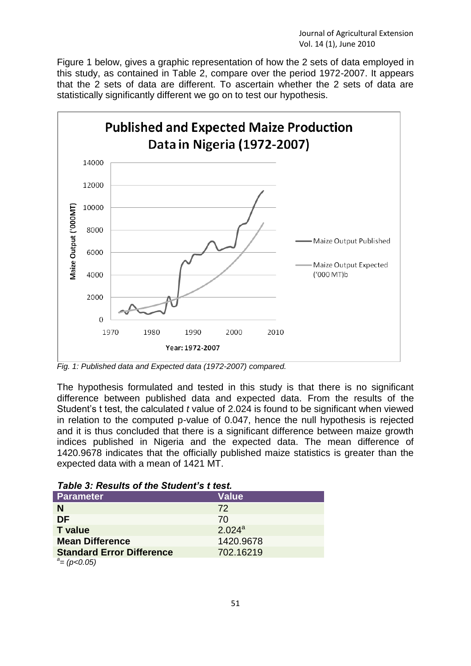Figure 1 below, gives a graphic representation of how the 2 sets of data employed in this study, as contained in Table 2, compare over the period 1972-2007. It appears that the 2 sets of data are different. To ascertain whether the 2 sets of data are statistically significantly different we go on to test our hypothesis.



*Fig. 1: Published data and Expected data (1972-2007) compared.*

The hypothesis formulated and tested in this study is that there is no significant difference between published data and expected data. From the results of the Student's t test, the calculated *t* value of 2.024 is found to be significant when viewed in relation to the computed p-value of 0.047, hence the null hypothesis is rejected and it is thus concluded that there is a significant difference between maize growth indices published in Nigeria and the expected data. The mean difference of 1420.9678 indicates that the officially published maize statistics is greater than the expected data with a mean of 1421 MT.

| Table 3: Results of the Student's t test. |  |  |  |
|-------------------------------------------|--|--|--|
|-------------------------------------------|--|--|--|

| <b>Parameter</b>                 | <b>Value</b>       |
|----------------------------------|--------------------|
| N                                | 72                 |
| <b>DF</b>                        | 70                 |
| <b>T</b> value                   | 2.024 <sup>a</sup> |
| <b>Mean Difference</b>           | 1420.9678          |
| <b>Standard Error Difference</b> | 702.16219          |
| $^a = (p<0.05)$                  |                    |